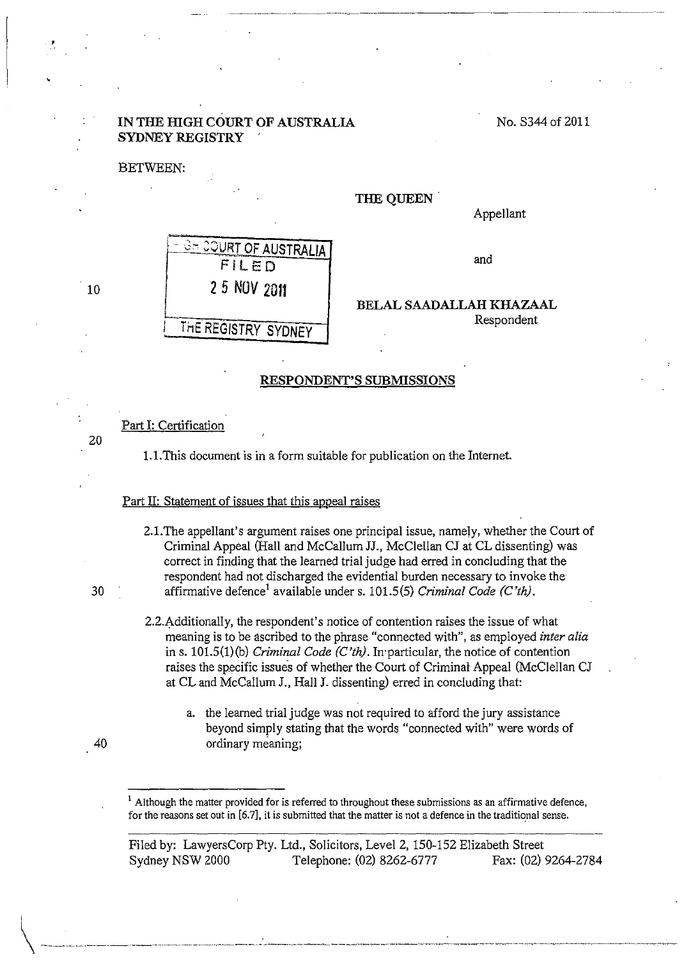## **IN THE HIGH COURT OF AUSTRALIA SYDNEY REGISTRY**

BETWEEN:

'·

#### **THE QUEEN.**

Appellant

No. S344 of 2011



and

**BELAL SAADALLAH KHAZAAL**  Respondent

### **RESPONDENT'S SUBMISSIONS**

Part I: Certification

l.l.This document is in a form suitable for publication on the Internet.

#### Part II: Statement of issues that this appeal raises

- 2.1.The appellant's argument raises one principal issue, namely, whether the Court of Criminal Appeal (Hall and McCallum JJ., McClellan CJ at CL dissenting) was correct in finding that the learned trial judge had erred in concluding that the respondent had not discharged the evidential burden necessary to invoke the 30 affirmative defence1 available under s. 101.5(5) *Criminal Code (C'th).* 
	- 2.2.Additionally, the respondent's notice of contention raises the issue of what meaning is to be ascribed to the phrase "connected with", as employed *inter alia*  ins. 101.5(1)(b) *Criminal Code (C'th).* In·particular, the notice of contention raises the specific issues of whether the Court of Criminal Appeal (McClellan CJ at CL and McCallum J., Hall **J.** dissenting) erred in concluding that:
		- a. the learned trial judge was not required to afford the jury assistance beyond simply stating that the words "connected with" were words of ordinary meaning;

Although the matter provided for is referred to throughout these submissions as an affirmative defence, for the reasons set out in [6.7], it is submitted that the matter is not a defence in the traditional sense.

Filed by: LawyersCorp Pty. Ltd., Solicitors, Level2, 150-152 Elizabeth Street Sydney NSW 2000 Telephone: (02) 8262-6777 Fax: (02) 9264-2784

 $.40$ 

10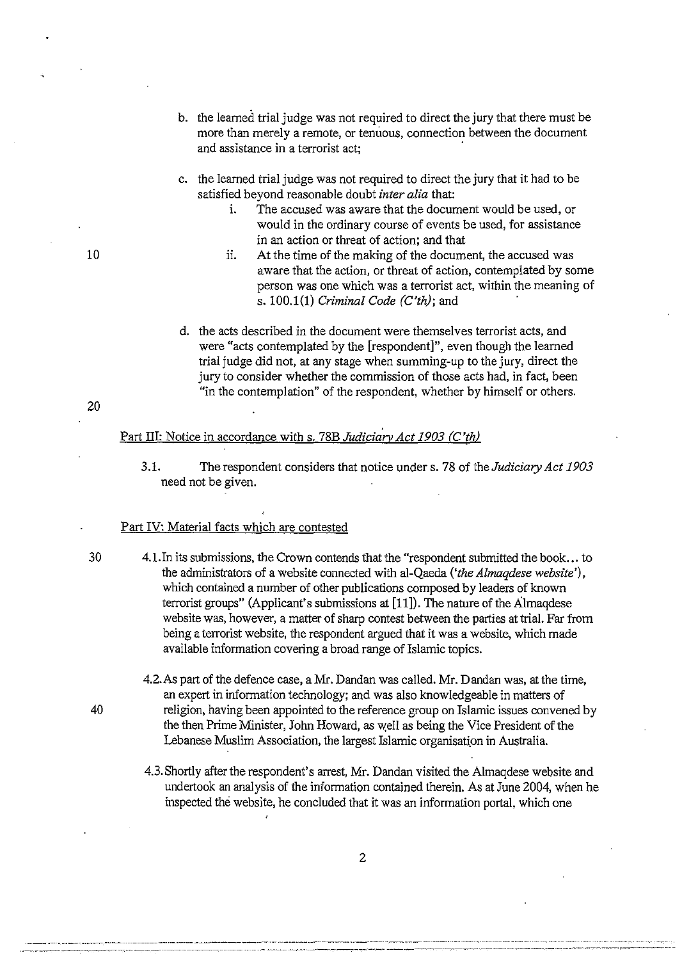- b. the learned trial judge was not required to direct the jury that there must be more than merely a remote, or tenuous, connection between the document and assistance in a terrorist act;
- c. the learned trial judge was not required to direct the jury that it had to be satisfied beyond reasonable doubt *inter alia* that:
	- i. The accused was aware that the document would be used, or would in the ordinary course of events be used, for assistance in an action or threat of action; and that
	- ii. At the time of the making of the document, the accused was aware that the action, or threat of action, contemplated by some person was one which was a terrorist act, within the meaning of s. 100.1(1) *Criminal Code (C'th);* and ·
- d. the acts described in the document were themselves terrorist acts, and were "acts contemplated by the [respondent]", even though the learned trial judge did not, at any stage when summing-up to the jury, direct the jury to consider whether the commission of those acts had, in fact, been "in the contemplation" of the respondent, whether by himself or others.

# Part III: Notice in accordance with s. 78B *Judiciary Act 1903 (C'th)*

3.1. The respondent considers that notice under s. 78 of the *Judiciary Act 1903*  need not be given.

### Part IV: Material facts which are contested

- 30 4.1.In its submissions, the Crown contends that the "respondent submitted the book ... to the administrators of a website connected with al-Qaeda ('the Almaqdese website'), which contained a number of other publications composed by leaders of known terrorist groups" (Applicant's submissions at [11]). The nature of the Almaqdese website was, however, a matter of sharp contest between the parties at trial. Far from being a terrorist website, the respondent argued that it was a website, which made available information covering a broad range of Islamic topics.
- 4.2.As part of the defence case, a Mr. Dandan was called. Mr. Dandan was, at the time, an expert in information technology; and was also knowledgeable in matters of 40 religion, having been appointed to the reference group on Islamic issues convened by the then Prime Minister, John Howard, as well as being the Vice President of the Lebanese Muslim Association, the largest Islamic organisation in Australia.
	- 4.3. Shortly after the respondent's arrest, Mr. Dandan visited the Almaqdese website and undertook an analysis of the information contained therein. As at June 2004, when he inspected the website, he concluded that it was an information portal, which one

10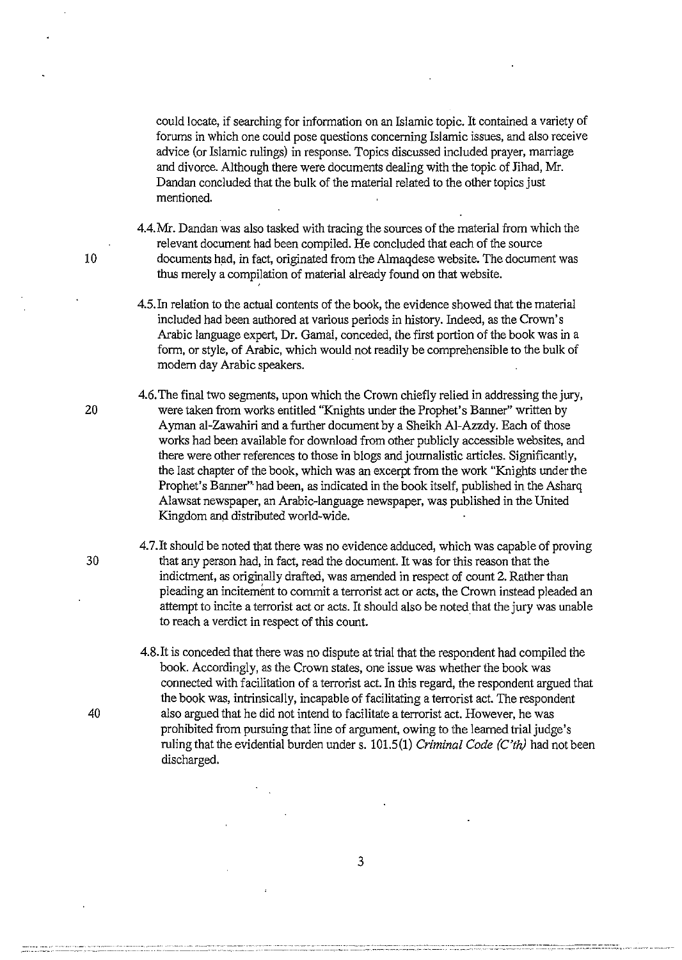could locate, if searching for information on an Islamic topic. It contained a variety of forums in which one could pose questions concerning Islamic issues, and also receive advice (or Islamic rulings) in response. Topics discussed included prayer, marriage and divorce. Although there were documents dealing with the topic of Jihad, Mr. Dandan concluded that the bulk of the material related to the other topics just mentioned.

4.4.Mr. Dandan was also tasked with tracing the sources of the material from which the relevant document had been compiled. He concluded that each of the source 10 documents had, in fact, originated from the Almaqdese website. The document was thus merely a compilation of material already found on that website.

> 4.5.In relation to the actual contents of the book, the evidence showed that the material included had been authored at various periods in history. Indeed, as the Crown's Arabic language expert, Dr. Gamal, conceded, the first portion of the book was in a form, or style, of Arabic, which would not readily be comprehensible to the bulk of modem day Arabic speakers.

4.6. The final two segments, upon which the Crown chiefly relied in addressing the jury, 20 were taken from works entitled "Knights under the Prophet's Banner" written by Ayman al-Zawahiri and a further document by a Sheikh AI-Azzdy. Each of those works had been available for download from other publicly accessible websites, and there were other references to those in blogs and journalistic articles. Significantly, the last chapter of the book, which was an excerpt from the work "Knights under the Prophet's Banner"· had been, as indicated in the book itself, published in the Asharq Alawsat newspaper, an Arabic-language newspaper, was published in the United Kingdom and distributed world-wide.

4. 7.It should be noted that there was no evidence adduced, which was capable of proving 30 that any person had, in fact, read the document. It was for this reason that the indictment, as originally drafted, was amended in respect of count 2. Rather than pleading an incitement to commit a terrorist act or acts, the Crown instead pleaded an attempt to incite a terrorist act or acts. It should also be noted that the jury was unable to reach a verdict in respect of this count.

4.8.It is conceded that there was no dispute at trial that the respondent had compiled the book. Accordingly, as the Crown states, one issue was whether the book was connected with facilitation of a terrorist act. In this regard, the respondent argued that the book was, intrinsically, incapable of facilitating a terrorist act. The respondent 40 also argued that he did not intend to facilitate a terrorist act. However, he was prohibited from pursuing that line of argument, owing to the learned trial judge's ruling that the evidential burden under s. 101.5(1) *Criminal Code* (C'th) had not been discharged.

3

···--~------ ···---· -- ----····· ------- ~----- -· '' -------· ·-------- - --~- -·· --- -------------------------------------- --------- ------------~ -----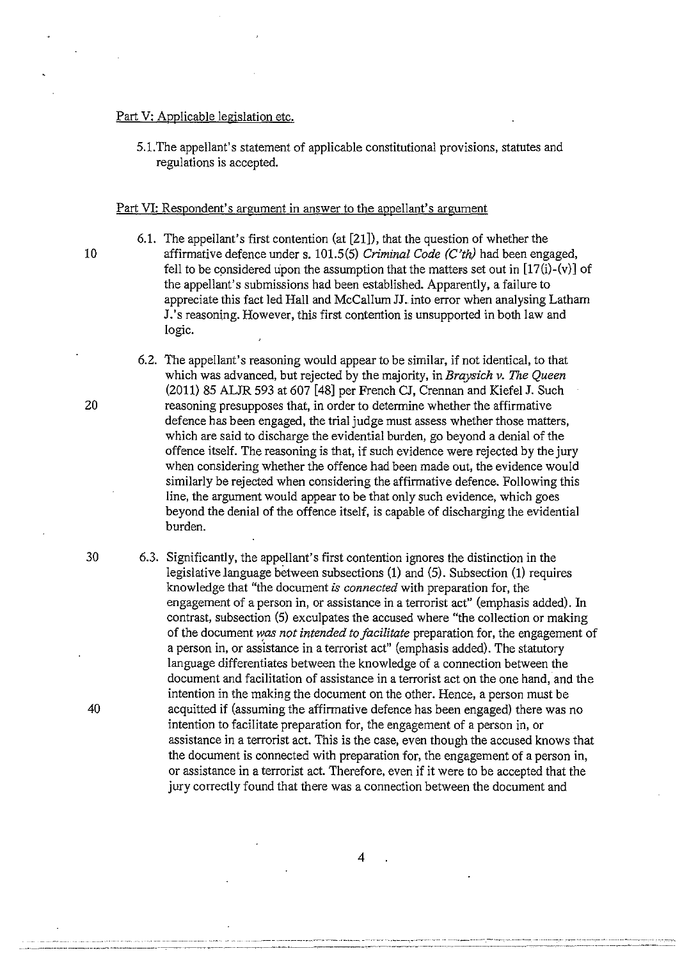### Part V: Applicable legislation etc.

5.1. The appellant's statement of applicable constitutional provisions, statutes and regulations is accepted.

#### Part VI: Respondent's argument in answer to the appellant's argument

6.1. The appellant's first contention (at [21]), that the question of whether the 10 affirmative defence under s. 101.5(5) *Criminal Code (C'th)* had been engaged, fell to be considered upon the assumption that the matters set out in  $[17(i)-(v)]$  of the appellant's submissions had been established. Apparently, a failure to appreciate this fact led Hall and McCallum JJ. into error when analysing Latham J.'s reasoning. However, this first contention is unsupported in both law and logic.

- 6.2. The appellant's reasoning would appear to be similar, if not identical, to that which was advanced, but rejected by the majority, in *Braysich v. The Queen*  (2011) 85 ALJR 593 at 607 [48] per French CJ, Crennan and Kiefel J. Such 20 reasoning presupposes that, in order to determine whether the affirmative defence has been engaged, the trial judge must assess whether those matters, which are said to discharge the evidential burden, go beyond a denial of the offence itself. The reasoning is that, if such evidence were rejected by the jury when considering whether the offence had been made out, the evidence would similarly be rejected when considering the affirmative defence. Following this line, the argument would appear to be that only such evidence, which goes beyond the denial of the offence itself, is capable of discharging the evidential burden.
- 30 6.3. Significantly, the appellant's first contention ignores the distinction in the legislative language between subsections (1) and (5). Subsection (1) requires knowledge that "the document *is connected* with preparation for, the engagement of a person in, or assistance in a terrorist act" (emphasis added). In contrast, subsection (5) exculpates the accused where "the collection or making of the document was not intended to facilitate preparation for, the engagement of a person in, or assistance in a terrorist act" (emphasis added). The statutory language differentiates between the knowledge of a connection between the document and facilitation of assistance in a terrorist act on the one hand, and the intention in the making the document on the other. Hence, a person must be 40 acquitted if (assuming the affirmative defence has been engaged) there was no intention to facilitate preparation for, the engagement of a person in, or assistance in a terrorist act. This is the case, even though the accused knows that the document is connected with preparation for, the engagement of a person in, or assistance in a terrorist act. Therefore, even if it were to be accepted that the jury correctly found that there was a connection between the document and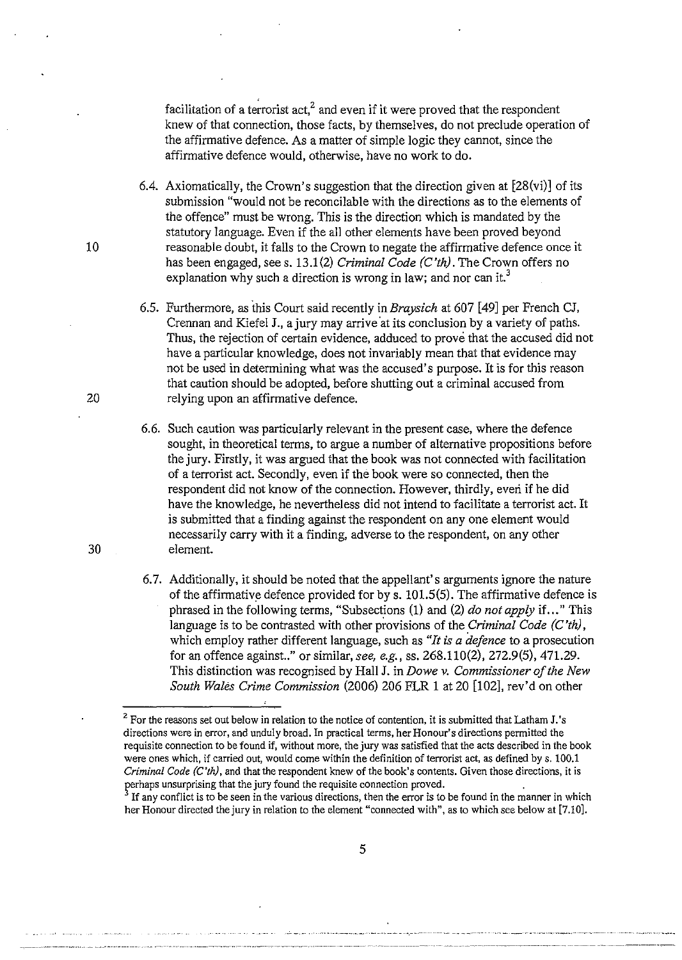facilitation of a terrorist  $act<sub>i</sub><sup>2</sup>$  and even if it were proved that the respondent knew of that connection, those facts, by themselves, do not preclude operation of the affirmative defence. As a matter of simple logic they cannot, since the affirmative defence would, otherwise, have no work to do.

6.4. Axiomatically, the Crown's suggestion that the direction given at  $[28(vi)]$  of its submission "would not be reconcilable with the directions as to the elements of the offence" must be wrong. This is the direction which is mandated by the statutory language. Even if the all other elements have been proved beyond reasonable doubt, it falls to the Crown to negate the affirmative defence once it has been engaged, sees. 13.1 (2) *Criminal Code (C'th).* The Crown offers no explanation why such a direction is wrong in law; and nor can it.<sup>3</sup>

- 6.5. Furthermore, as this Court said recently in *Braysich* at 607 [49] per French CJ, Crennan and Kiefel J., a jury may arrive 'at its conclusion by a variety of paths. Thus, the rejection of certain evidence, adduced to prove that the accused did not have a particular knowledge, does not invariably mean that that evidence may not be used in determining what was the accused's purpose. It is for this reason that caution should be adopted, before shutting out a criminal accused from 20 relying upon an affirmative defence.
- 6.6. Such caution was particularly relevant in the present case, where the defence sought, in theoretical terms, to argue a number of alternative propositions before the jury. Firstly, it was argued that the book was not connected with facilitation of a terrorist act. Secondly, even if the book were so connected, then the respondent did not know of the connection. However, thirdly, everi if he did have the knowledge, he nevertheless did not intend to facilitate a terrorist act. It is submitted that a finding against the respondent on any one element would necessarily carry with it a finding, adverse to the respondent, on any other 30 element.
	- 6. 7. Additionally, it should be noted that the appellant's arguments ignore the nature of the affirmative defence provided for by s.  $101.5(5)$ . The affirmative defence is phrased in the following terms, "Subsections (1) and (2) *do not apply* if ... " This language is to be contrasted with other provisions of the *Criminal Code (C 'th),*  which employ rather different language, such as *"It is a defence* to a prosecution for an offence against .. " or similar, *see, e.g.,* ss. 268.110(2), 272.9(5), 471.29. This distinction was recognised by Hall J. in *Do we v. Commissioner of the New South Wales Crime Commission* (2006) 206 FLR 1 at 20 [102], rev'd on other

<sup>&</sup>lt;sup>2</sup> For the reasons set out below in relation to the notice of contention, it is submitted that Latham J.'s **directions were in error, and unduly broad. In practical terms, her Honour's directions permitted the**  requisite connection to be found if, without more, the jury was satisfied that the acts described in the book were ones which, if carried out, would come within the definition of terrorist act, *as* defined by s. 100.1 *Criminal Code (C'th),* and that the respondent knew of the book's contents. Given those directions, it is perhaps unsurprising that the jury found the requisite connection proved.

<sup>&</sup>lt;sup>3</sup> If any conflict is to be seen in the various directions, then the error is to be found in the manner in which her Honour directed the jury in relation to the element "connected with", as to which see below at [7.10].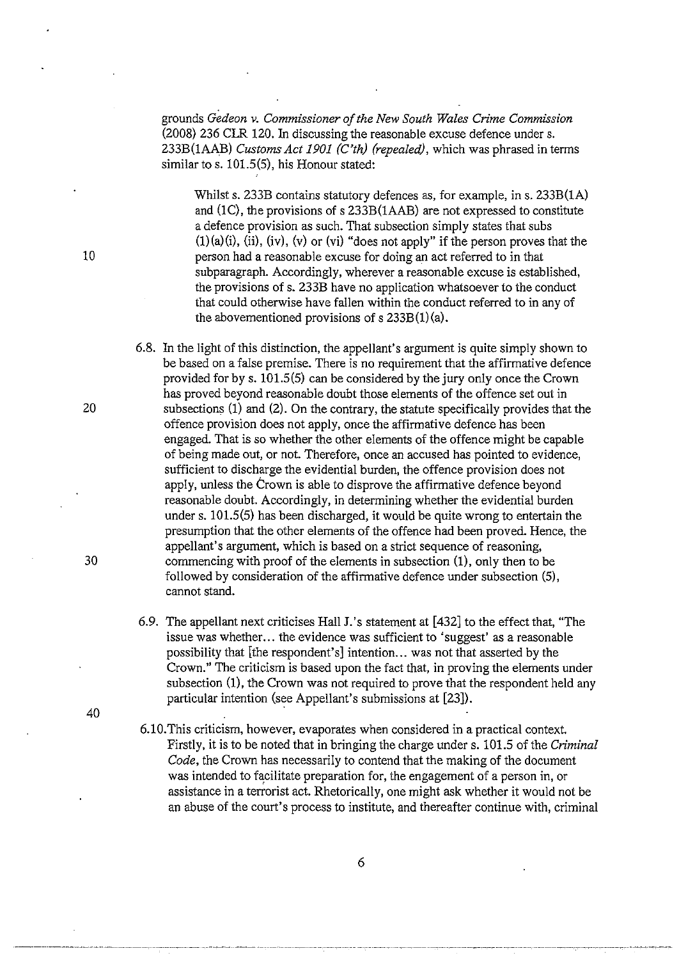grounds *Gedeon v. Commissioner of the New South Wales Crime Commission*  (2008) 236 CIR 120. In discussing the reasonable excuse defence under s. 233B(1AAB) *Customs Act 1901 (C'th) (repealed),* which was phrased in terms similar to s. 101.5(5), his Honour stated:

Whilst s.  $233B$  contains statutory defences as, for example, in s.  $233B(1A)$ and (1C), the provisions of s 233B(1AAB) are not expressed to constitute a defence provision as such. That subsection simply states that subs  $(1)(a)(i)$ ,  $(ii)$ ,  $(iv)$ ,  $(v)$  or  $(vi)$  "does not apply" if the person proves that the person had a reasonable excuse for doing an act referred to in that subparagraph. Accordingly, wherever a reasonable excuse is established, the provisions of s. 233B have no application whatsoever to the conduct that could otherwise have fallen within the conduct referred to in any of the abovementioned provisions of  $s$  233B $(1)(a)$ .

6.8. In the light of this distinction, the appellant's argument is quite simply shown to be based on a false premise. There is no requirement that the affirmative defence provided for by s. 101.5(5) can be considered by the jury only once the Crown has proved beyond reasonable doubt those elements of the offence set out in 20 subsections (1) and (2). On the contrary, the statute specifically provides that the offence provision does not apply, once the affirmative defence has been engaged. That is so whether the other elements of the offence might be capable of being made out, or not. Therefore, once an accused has pointed to evidence, sufficient to discharge the evidential burden, the offence provision does not apply, unless the Crown is able to disprove the affirmative defence beyond reasonable doubt. Accordingly, in determining whether the evidential burden under s. 101.5(5) has been discharged, it would be quite wrong to entertain the presumption that the other elements of the offence had been proved. Hence, the appellant's argument, which is based on a strict sequence of reasoning, 30 commencing with proof of the elements in subsection (1), only then to be followed by consideration of the affirmative defence under subsection (5), cannot stand.

- 6.9. The appellant next criticises Hall J.'s statement at [432] to the effect that, "The issue was whether... the evidence was sufficient to 'suggest' as a reasonable possibility that [the respondent's] intention... was not that asserted by the Crown." The criticism is based upon the fact that, in proving the elements under subsection (1), the Crown was not required to prove that the respondent held any particular intention (see Appellant's submissions at [23]).
- 6.1 0. This criticism, however, evaporates when considered in a practical context. Firstly, it is to be noted that in bringing the charge under s. 101.5 of the *Criminal Code,* the Crown has necessarily to contend that the making of the document was intended to facilitate preparation for, the engagement of a person in, or assistance in a terrorist act. Rhetorically, one might ask whether it would not be an abuse of the court's process to institute, and thereafter continue with, criminal

10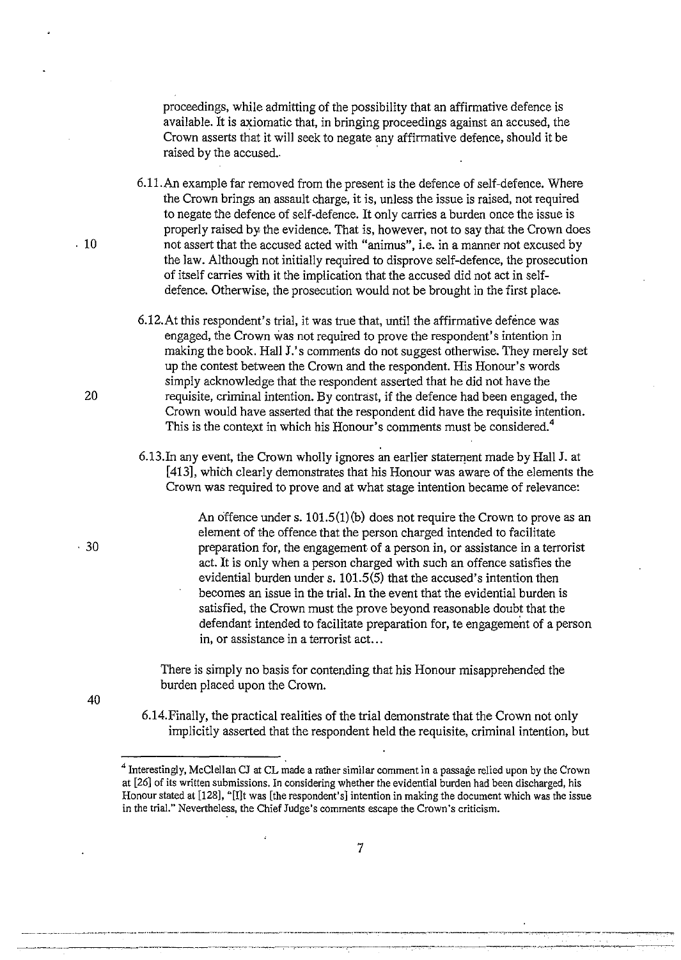proceedings, while admitting of the possibility that an affirmative defence is available. It is axiomatic that, in bringing proceedings against an accused, the Crown asserts that it will seek to negate any affirmative defence, should it be raised by the accused.

6.1l.An example far removed from the present is the defence of self-defence. Where the Crown brings an assault charge, it is, unless the issue is raised, not required to negate the defence of self-defence. It only carries a burden once the issue is properly raised by the evidence. That is, however, not to say that the Crown does . 10 not assert that the accused acted with "animus", i.e. in a manner not excused by the law. Although not initially required to disprove self-defence, the prosecution of itself carries with it the implication that the accused did not act in selfdefence. Otherwise, the prosecution would not be brought in the first place.

- 6.12.At this respondent's trial, it was true that, until the affirmative defence was engaged, the Crown was not required to prove the respondent's intention in making the book. Hall J's comments do not suggest otherwise. They merely set up the contest between the Crown and the respondent. His Honour's words simply acknowledge that the respondent asserted that he did not have the 20 requisite, criminal intention. By contrast, if the defence had been engaged, the Crown would have asserted that the respondent did have the requisite intention. This is the context in which his Honour's comments must be considered.<sup>4</sup>
	- 6.13.In any event, the Crown wholly ignores an earlier statement made by Hall J. at [413], whieh clearly demonstrates that his Honour was aware of the elements the Crown was required to prove and at what stage intention became of relevance:

An offence under s. 101.5(1)(b) does not require the Crown to prove as an element of the offence that the person charged intended to facilitate preparation for, the engagement of a person in, or assistance in a terrorist act. It is only when a person charged with such an offence satisfies the evidential burden under s. 101.5(5) that the accused's intention then becomes an issue in the trial. In the event that the evidential burden is satisfied, the Crown must the prove beyond reasonable doubt that the defendant intended to facilitate preparation for, te engagement of a person in, or assistance in a terrorist act...

There is simply no basis for contending that his Honour misapprehended the burden placed upon the Crown.

40

6.14.Finally, the practical realities of the trial demonstrate that the Crown not only implicitly asserted that the respondent held the requisite, criminal intention, but

<sup>4</sup> Interestingly, McClellan CJ at CL made a rather similar comment in a passage relied upon by the Crown at [26] of its written submissions. In considering whether the evidential burden had been discharged, his Honour stated at [128], "[l]t was [the respondent's] intention in making the document which was the issue in the trial." Nevertheless, the Chief Judge's comments escape the Crown's criticism.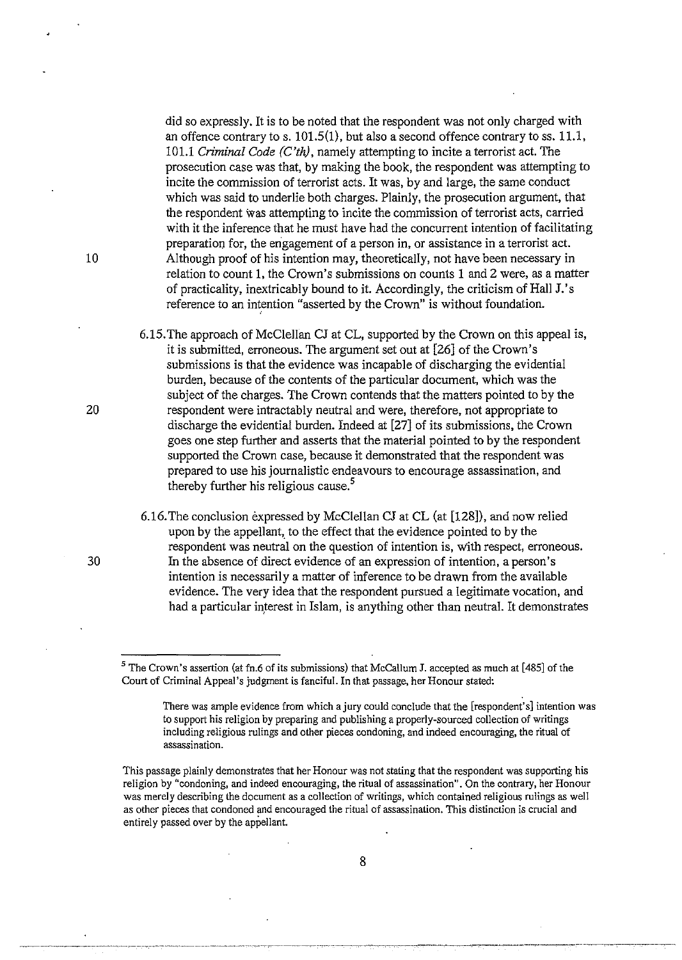did so expressly. It is to be noted that the respondent was not only charged with an offence contrary to s.  $101.5(1)$ , but also a second offence contrary to ss.  $11.1$ , 101.1 *Criminal Code (C'th),* namely attempting to incite a terrorist act. The prosecution case was that, by making the book, the respondent was attempting to incite the commission of terrorist acts. It was, by and large, the same conduct which was said to underlie both charges. Plainly, the prosecution argument, that the respondent was attempting to incite the commission of terrorist acts, carried with it the inference that he must have had the concurrent intention of facilitating preparation for, the engagement of a person in, or assistance in a terrorist act. 10 Although proof of his intention may, theoretically, not have been necessary in relation to count 1, the Crown's submissions on counts 1 and 2 were, as a matter of practicality, inextricably bound to it. Accordingly, the criticism of Hall J.'s reference to an intention "asserted by the Crown" is without foundation.

6.15. The approach of McClellan CJ at CL, supported by the Crown on this appeal is, it is submitted, erroneous. The argument set out at [26] of the Crown's submissions is that the evidence was incapable of discharging the evidential burden, because of the contents of the particular document, which was the subject of the charges. The Crown contends that the matters pointed to by the 20 respondent were intractably neutral and were, therefore, not appropriate to discharge the evidential burden. Indeed at [27] of its submissions, the Crown goes one step further and asserts that the material pointed to by the respondent supported the Crown case, because it demonstrated that the respondent was prepared to use his journalistic endeavours to encourage assassination, and thereby further his religious cause.<sup>5</sup>

6.16. The conclusion expressed by McClellan CJ at CL (at [128]), and now relied upon by the appellant, to the effect that the evidence pointed to by the respondent was neutral on the question of intention is, with respect, erroneous. 30 In the absence of direct evidence of an expression of intention, a person's intention is necessarily a matter of inference to be drawn from the available evidence. The very idea that the respondent pursued a legitimate vocation, and had a particular interest in Islam, is anything other than neutral. It demonstrates

<sup>5</sup> The Crown's assertion (at fn.6 of its submissions) that McCallum J. accepted as much at [485] of the Court of Criminal Appeal's judgment is fancifuL In that passage, her Honour stated:

There was ample evidence from which a jury could conclude that the [respondent's] intention was to support his religion by preparing and publishing a properly-sourced collection of writings including religious rulings and other pieces condoning, and indeed encouraging, the ritual of **assassination.** 

This passage plainly demonstrates that her Honour was not stating that the respondent was supporting his **religion by "condoning, and indeed encouraging, the ritual of assassination". On the contrary, her Honour**  was merely describing the document as a collection of writings, which contained religious rulings as well **as other pieces that condoned and encouraged the ritual of assassination. This distinction is crucial and**  entirely passed over by the appellant.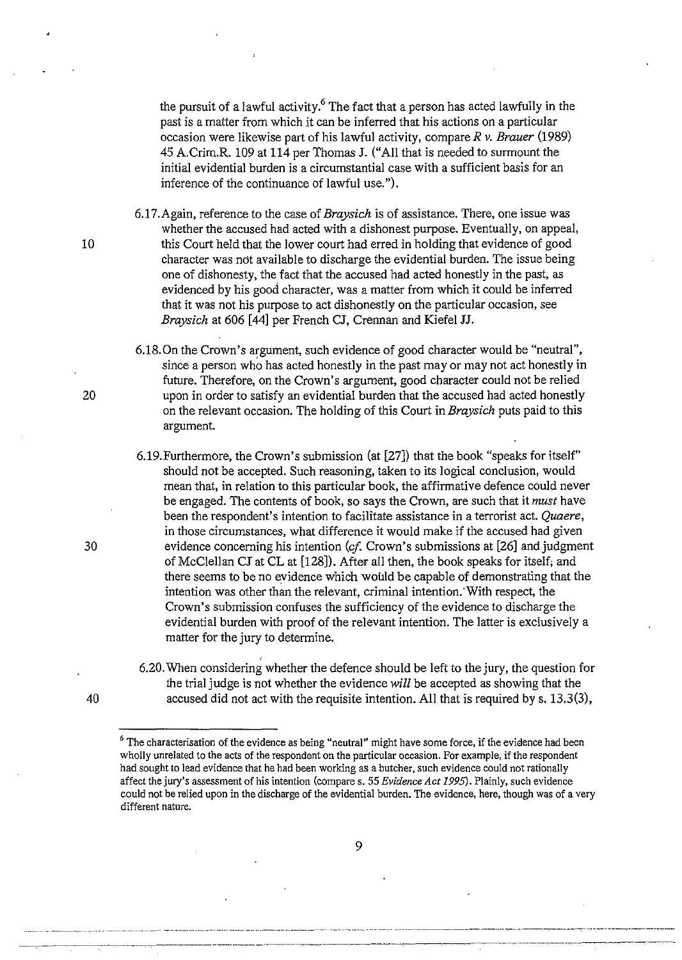the pursuit of a lawful activity.<sup>6</sup> The fact that a person has acted lawfully in the past is a matter from which it can be inferred that his actions on a particular occasion were likewise part of his lawful activity, compare *R* v. *Brauer* (1989) 45 A.Crim.R. 109 at 114 per Thomas J. ("All that is needed to surmount the initial evidential burden is a circumstantial case with a sufficient basis for an inference of the continuance of lawful use.").

6.17.Again, reference to the case of *Braysich* is of assistance. There, one issue was whether the accused had acted with a dishonest purpose. Eventually, on appeal, 10 this Court held that the lower court had erred in holding that evidence of good character was ndt available to discharge the evidential burden. The issue being one of dishonesty, the fact that the accused had acted honestly in the past, as evidenced by his good character, was a matter from which it could be inferred that it was not his purpose to act dishonestly on the particular occasion, see *Braysich* at 606 [44] per French CJ, Crennan and Kiefel JJ.

6.18.0n the Crown's argument, such evidence of good character would be "neutral", since a person who has acted honestly in the past may or may not act honestly in future. Therefore, on the Crown's argument, good character could not be relied 20 upon in order to satisfy an evidential burden that the accused had acted honestly on the relevant occasion. The holding of this Court in *Braysich* puts paid to this argument.

6.19.Furthermore, the Crown's submission (at [27]) that the book "speaks for itself" should not be accepted. Such reasoning, taken to its logical conclusion, would mean that, in relation to this particular book, the affirmative defence could never be engaged. The contents of book, so says the Crown, are such that it *must* have been the respondent's intention to facilitate assistance in a terrorist act. *Quaere,*  in those circumstances, what difference it would make if the accused had given 30 evidence concerning his intention (cf Crown's submissions at [26] and judgment of McClellan CJ at CL at [128]). After all then, the book speaks for itself; and there seems to be no evidence which would be capable of demonstrating that the intention was other than the relevant, criminal intention: With respect, the Crown's submission confuses the sufficiency of the evidence to discharge the evidential burden with proof of the relevant intention. The latter is exclusively a matter for the jury to determine.

6.20. When considering whether the defence should be left to the jury, the question for the trial judge is not whether the evidence *will* be accepted as showing that the 40 accused did not act with the requisite intention. All that is required by s. 13.3(3),

<sup>&</sup>lt;sup>6</sup> The characterisation of the evidence as being "neutral" might have some force, if the evidence had been wholly unrelated to the acts of the respondent on the particular occasion. For example, if the respondent had sought to lead evidence that he had been working as a butcher, such evidence could not rationally affect the jury's assessment of his intention (compares. 55 *Evidence Act 1995).* Plainly, such evidence could not be relied upon in the discharge of the evidential burden. The evidence, here, though was of a very **different nature.**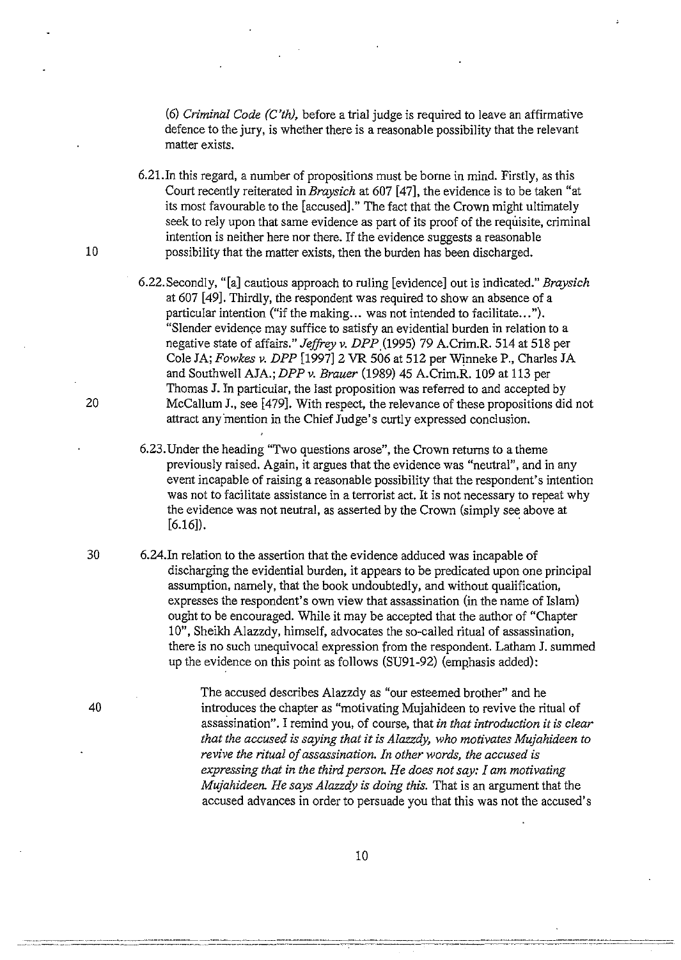(6) *Criminal Code (C'th),* before a trial judge is required to leave an affirmative defence to the jury, is whether there is a reasonable possibility that the relevant matter exists.

6.2l.In this regard, a number of propositions must be borne in mind. Firstly, as this Court recently reiterated *inBraysich* at 607 [47], the evidence is to be taken "at its most favourable to the [accused]." The fact that the Crown might ultimately seek to rely upon that same evidence as part of its proof of the requisite, criminal intention is neither here nor there. If the evidence suggests a reasonable 10 possibility that the matter exists, then the burden has been discharged.

- 6.22.Secondly, "[a] cautious approach to ruling [evidence] out is indicated." *Braysich*  at 607 [49]. Thirdly, the respondent was required to show an absence of a particular intention ("if the making... was not intended to facilitate..."). "Slender evidence may suffice to satisfy an evidential burden in relation to a negative state of affairs." *Jeffrey v. DPP.* (1995) 79 A.Crim.R. 514 at 518 per Cole JA; *Fowkes v. DPP* [1997] 2 VR 506 at 512 per Wjnneke P., Charles JA and Southwell AJA.; *DPPv. Brauer* (1989) 45 A.Crim.R. 109 at 113 per Thomas J. In particular, the last proposition was referred to and accepted by 20 McCallum J., see [479]. With respect, the relevance of these propositions did not attract any mention in the Chief Judge's curtly expressed conclusion.
	- 6.23. Under the heading "Two questions arose", the Crown returns to a theme previously raised. Again, it argues that the evidence was "neutral", and in any event incapable of raising a reasonable possibility that the respondent's intention was not to facilitate assistance in a terrorist act. It is not necessary to repeat why the evidence was not neutral, as asserted by the Crown (simply see above at  $[6.16]$ ).
- 30 6.24.In relation to the assertion that the evidence adduced was incapable of discharging the evidential burden, it appears to be predicated upon one principal assumption, namely, that the book undoubtedly, and without qualification, expresses the respondent's own view that assassination (in the name of Islam) ought to be encouraged. While it may be accepted that the author of "Chapter 10", Sheikh Alazzdy, himself, advocates the so-called ritual of assassination, there is no such unequivocal expression from the respondent. Latham J. summed up the evidence on this point as follows (SU91-92) (emphasis added):

The accused describes Alazzdy as "our esteemed brother" and he 40 introduces the chapter as "motivating Mujahideen to revive the ritual of assassination". I remind you, of course, that *in that introduction it is clear that the accused is saying that it is Alazzdy, who motivates Mujahideen to revive the ritual of assassination. In other words, the accused is expressing that in the third person. He does not say: I am motivating Mujahideen. He says Alazzdy is doing this.* That is an argument that the accused advances in order to persuade you that this was not the accused's

------------------~---~--------------~----------------~-~------------------------------------- -----~---------~~--------~-----------------------------v·---------------------------------------------------------------------~-----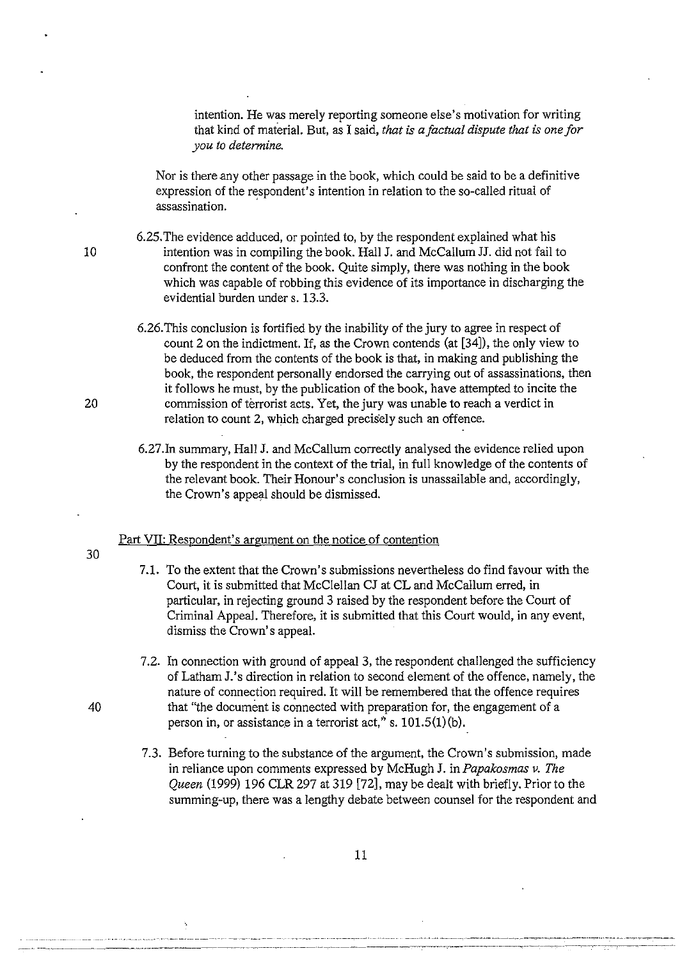intention. He was merely reporting someone else's motivation for writing that kind of material. But, as I said, *that is a factual dispute that is one for you to determine.* 

Nor is there any other passage in the book, which could be said to be a definitive expression of the respondent's intention in relation to the so-called ritual of assassination.

6.25. The evidence adduced, or pointed to, by the respondent explained what his 10 intention was in compiling the book. Hall J. and McCallum JJ. did not fail to confront the content of the book. Quite simply, there was nothing in the book which was capable of robbing this evidence of its importance in discharging the evidential burden under s. 13.3.

- 6.26. This conclusion is fortified by the inability of the jury to agree in respect of count 2 on the indictment. If, as the Crown contends (at [34]), the only view to be deduced from the contents of the book is that, in making and publishing the book, the respondent personally endorsed the carrying out of assassinations, then it follows he must, by the publication of the book, have attempted to incite the 20 commission of terrorist acts. Yet, the jury was unable to reach a verdict in relation to count 2, which charged precisely such an offence.
	- 6.27.In summary, Hall J. and McCallum correctly analysed the evidence relied upon by the respondent in the context of the trial, in full knowledge of the contents of the relevant book. Their Honour's conclusion is unassailable and, accordingly, the Crown's appeal should be dismissed.

# Part VII: Respondent's argument on the notice of contention

- 30
- 7.1. To the extent that the Crown's submissions nevertheless do find favour with the Court, it is submitted that McClellan CJ at CL and McCallum erred, in particular, in rejecting ground 3 raised by the respondent before the Court of Criminal Appeal. Therefore, it is submitted that this Court would, in any event, dismiss the Crown's appeal.
- 7.2. In connection with ground of appeal 3, the respondent challenged the sufficiency of Latham J.'s direction in relation to second element of the offence, namely, the nature of connection required. It will be remembered that the offence requires 40 that "the document is connected with preparation for, the engagement of a person in, or assistance in a terrorist act," s.  $101.5(1)(b)$ .
	- 7.3. Before turning to the substance of the argument, the Crown's submission, made in reliance upon comments expressed by McHugh J. in *Papakosmas v. The Queen* (1999) 196 CLR 297 at 319 [72], may be dealt with briefly. Prior to the summing-up, there was a lengthy debate between counsel for the respondent and

11

--------~-------------------------------------------------~-----------------~------~-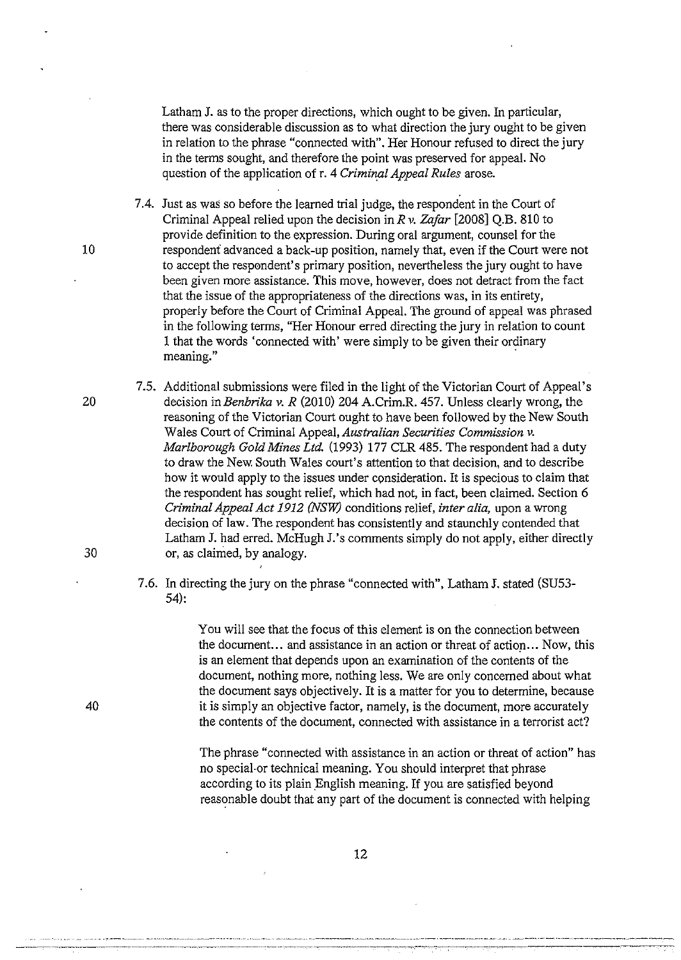Latham J. as to the proper directions, which ought to be given. In particular, there was considerable discussion as to what direction the jury ought to be given in relation to the phrase "connected with". Her Honour refused to direct the jury in the terms sought, and therefore the point was preserved for appeal. No question of the application of r. 4 *Criminal Appeal Rules* arose.

7.4. Just as was so before the learned trial judge, the respondent in the Court of Criminal Appeal relied upon the decision in *R v. Zafar* [2008] Q.B. 810 to provide definition to the expression. During oral argument, counsel for the 10 respondenf advanced a back-up position, namely that, even if the Court were not to accept the respondent's primary position, nevertheless the jury ought to have been given more assistance. This move, however, does not detract from the fact that the issue of the appropriateness of the directions was, in its entirety, properly before the Court of Criminal Appeal. The ground of appeal was phrased in the following terms, "Her Honour erred directing the jury in relation to count 1 that the words 'connected with' were simply to be given their ordinary **meaning."** .

7.5. Additional submissions were filed in the light of the Victorian Court of Appeal's 20 decision *inBenbrika v. R* (2010) 204 A.Crim.R. 457. Unless clearly wrong, the reasoning of the Victorian Court ought to have been followed by the New South Wales Court of Criminal Appeal, *Australian Securities Commission v. Marlborough Gold Mines Ltd.* (1993) 177 CLR 485. The respondent had a duty to draw the New. South Wales court's attention to that decision, and to describe how it would apply to the issues under consideration. It is specious to claim that the respondent has sought relief, which had not, in fact, been claimed. Section 6 *Criminal Appeal Act 1912 (NSW)* conditions relief, *inter alia,* upon a wrong decision of law. The respondent has consistently and staunchly contended that Latham J. had erred. McHugh J.'s comments simply do not apply, either directly 30 or, as claimed, by analogy.

# 7.6. In directing the jury on the phrase "connected with", Latham J. stated (SU53- 54):

You will see that the focus of this element is on the connection between the document... and assistance in an action or threat of action... Now, this is an element that depends upon an examination of the contents of the document, nothing more, nothing less. We are only concerned about what the document says objectively. It is a matter for you to determine, because it is simply an objective factor, namely, is the document, more accurately the contents of the document, connected with assistance in a terrorist act?

The phrase "connected with assistance in an action or threat of action" has no special·or technical meaning. You should interpret that phrase according to its plain English meaning. If you are satisfied beyond reasonable doubt that any part of the document is connected with helping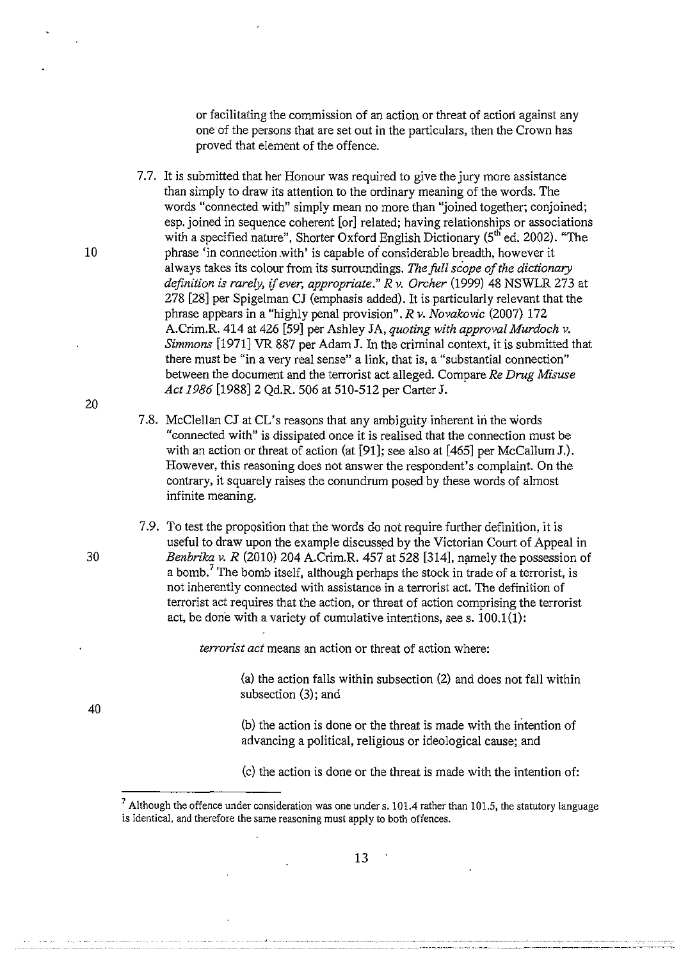or facilitating the commission of an action or threat of action against any one of the persons that are set out in the particulars, then the Crown has proved that element of the offence.

7.7. It is submitted that her Honour was required to give the jury more assistance than simply to draw its attention to the ordinary meaning of the words. The words "connected with" simply mean no more than "joined together; conjoined; esp. joined in sequence coherent [or] related; having relationships or associations with a specified nature", Shorter Oxford English Dictionary  $(5<sup>th</sup>$  ed. 2002). "The 10 phrase 'in connection .with' is capable of considerable breadth, however it always takes its colour from its surroundings. *The full scope of the dictionary definition is rarely,* if *ever, appropriate." R* v. *Orcher* (1999) 48 NSWLR 273 at 278 [28] per Spigelman CJ (emphasis added). It is particularly relevant that the phrase appears in a "highly penal provision". *R* v. *Novakovic* (2007) 172 A.Crim.R. 414 at 426 [59] per Ashley JA, *quoting with approval Murdoch* v. *Simmons* [1971] VR 887 per Adam J. In the criminal context, it is submitted that there must be "in a very real sense" a link, that is, a "substantial connection" between the document and the terrorist act alleged. Compare *Re Drug Misuse Act 1986* [1988] 2 Qd.R. 506 at 510-512 per Carter J.

- 7.8. McClellan CJ at CL's reasons that any ambiguity inherent in the words "connected with" is dissipated once it is realised that the connection must be with an action or threat of action (at [91]; see also at [465] per McCallum J.). However, this reasoning does not answer the respondent's complaint. On the contrary, it squarely raises the conundrum posed by these words of almost infinite meaning.
- 7.9. To test the proposition that the words do not require further definition, it is useful to draw upon the example discussed by the Victorian Court of Appeal in 30 *Benbrika v. R* (2010) 204 A.Crim.R. 457 at 528 [314], namely the possession of a bomb.<sup>7</sup> The bomb itself, although perhaps the stock in trade of a terrorist, is not inherently connected with assistance in a terrorist act. The definition of terrorist act requires that the action, or threat of action comprising the terrorist act, be done with a variety of cumulative intentions, see s.  $100.1(1)$ :

*terrorist act* means an action or threat of action where:

(a) the action falls within subsection (2) and does not fall within subsection (3); and

(b) the action is done or the threat is made with the intention of advancing a political, religious or ideological cause; and

(c) the action is done or the threat is made with the intention of:

20

 $7$  Although the offence under consideration was one under s. 101.4 rather than 101.5, the statutory language is identical, and therefore the same reasoning must apply to both offences.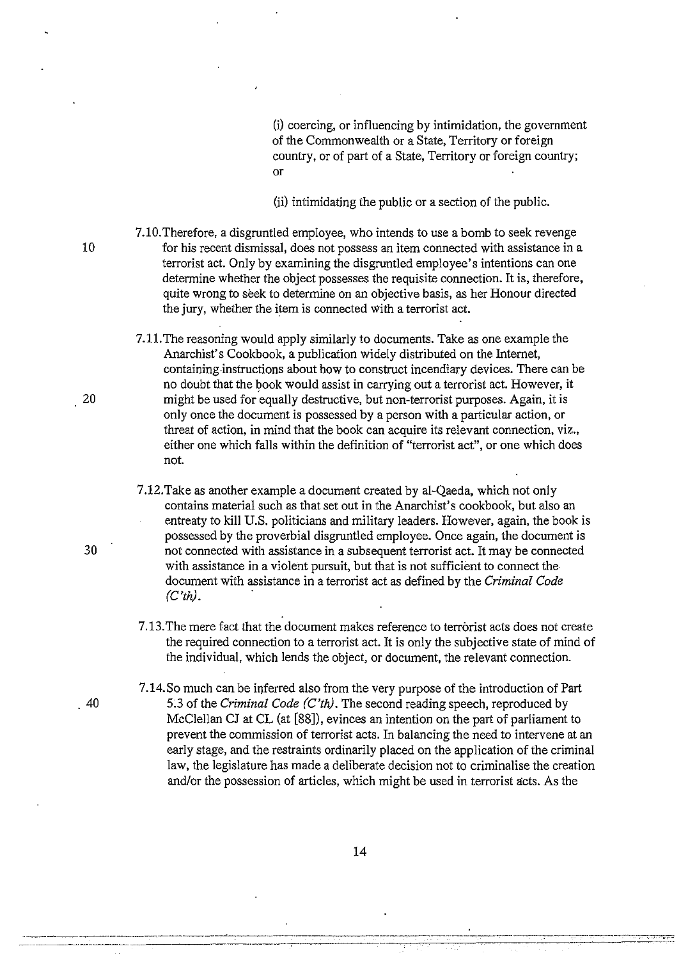(i} coercing, or influencing by intimidation, the government of the Commonwealth or a State, Territory or foreign country, or of part of a State, Territory or foreign country; or

(ii} intimidating the public or a section of the public.

7.10.Therefore, a disgruntled employee, who intends to use a bomb to seek revenge 10 for his recent dismissal, does not possess an item connected with assistance in a terrorist act. Only by examining the disgruntled employee's intentions can one determine whether the object possesses the requisite connection. It is, therefore, quite wrong to seek to determine on an objective basis, as her Honour directed the jury, whether the item is connected with a terrorist act.

7.11.The reasoning would apply similarly to documents. Take as one example the Anarchist's Cookbook, a publication widely distributed on the Internet, containing-instructions about how to construct incendiary devices. There can be no doubt that the book would assist in carrying out a terrorist act. However, it 20 might be used for equally destructive, but non-terrorist purposes. Again, it is only once the document is possessed by a person with a particular action, or threat of action, in mind that the book can acquire its relevant connection, viz., either one which falls within the definition of "terrorist act", or one which does not.

7 .12. Take as another example a document created by al-Qaeda, which not only contains material such as that set out in the Anarchist's cookbook, but also an entreaty to kill U.S. politicians and military leaders. However, again, the book is possessed by the proverbial disgruntled employee. Once again, the document is 30 not connected with assistance in a subsequent terrorist act. It may be connected with assistance in a violent pursuit, but that is not sufficient to connect the document with assistance in a terrorist act as defined by the *Criminal Code*   $(C'th)$ .

> 7 .13. The mere fact that the document makes reference to terrorist acts does not create the required connection to a terrorist act. It is only the subjective state of mind of the individual, which lends the object, or document, the relevant connection.

7.14.So much can be inferred also from the very purpose of the introduction of Part 40 5.3 of the *Criminal Code (C'th).* The second reading speech, reproduced by McClellan CJ at CL (at [88]), evinces an intention on the part of parliament to prevent the commission of terrorist acts. In balancing the need to intervene at an early stage, and the restraints ordinarily placed on the application of the criminal law, the legislature has made a deliberate decision not to criminalise the creation and/or the possession of articles, which might be used in terrorist acts. As the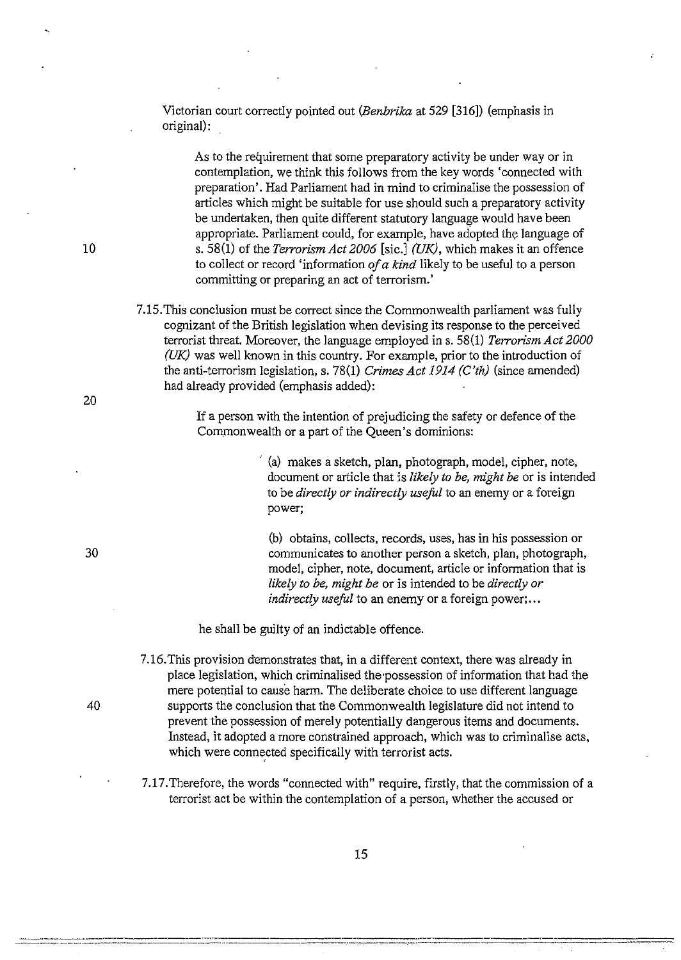Victorian court correctly pointed out *(Benbrika* at 529 [316]) (emphasis in original):

As to the requirement that some preparatory activity be under way or in contemplation, we think this follows from the key words 'connected with preparation'. Had Parliament had in mind to criminalise the possession of articles which might be suitable for use should such a preparatory activity be undertaken, then quite different statutory language would have been appropriate. Parliament could, for example, have adopted the language of s. 58(1) of the *Terrorism Act 2006* [sic.] *(UK),* which makes it an offence to collect or record 'information *of a kind* likely to be useful to a person committing or preparing an act of terrorism.'

7.15.This conclusion must be correct since the Commonwealth parliament was fully cognizant of the British legislation when devising its response to the perceived terrorist threat. Moreover, the language employed ins. 58(1) *Terrorism Act 2000 (UK)* was well known in this country. For example, prior to the introduction of the anti-terrorism legislation, s. 78(1) *Crimes Act 1914 (C'th)* (since amended) had already provided (emphasis added):

> If a person with the intention of prejudicing the safety or defence of the Commonwealth or a part of the Queen's dominions:

> > · (a) makes a sketch, plan, photograph, model, cipher, note, document or article that is *likely to be, might be* or is intended to be *directly or indirectly useful* to an enemy or a foreign power;

(b) obtains, collects, records, uses, has in his possession or communicates to another person a sketch, plan, photograph, model, cipher, note, document, article or information that is *likely to be, might be* or is intended to be *directly or indirectly useful* to an enemy or a foreign power;...

he shall be guilty of an indictable offence.

- 7.16.This provision demonstrates that, in a different context, there was already in place legislation, which criminalised the possession of information that had the mere potential to cause harm. The deliberate choice to use different language 40 supports the conclusion that the Commonwealth legislature did not intend to prevent the possession of merely potentially dangerous items and documents. Instead, it adopted a more constrained approach, which was to criminalise acts, which were connected specifically with terrorist acts.
	- 7.17.Therefore, the words "connected with" require, firstly, that the commission of a terrorist act be within the contemplation of a person, whether the accused or

10

20

30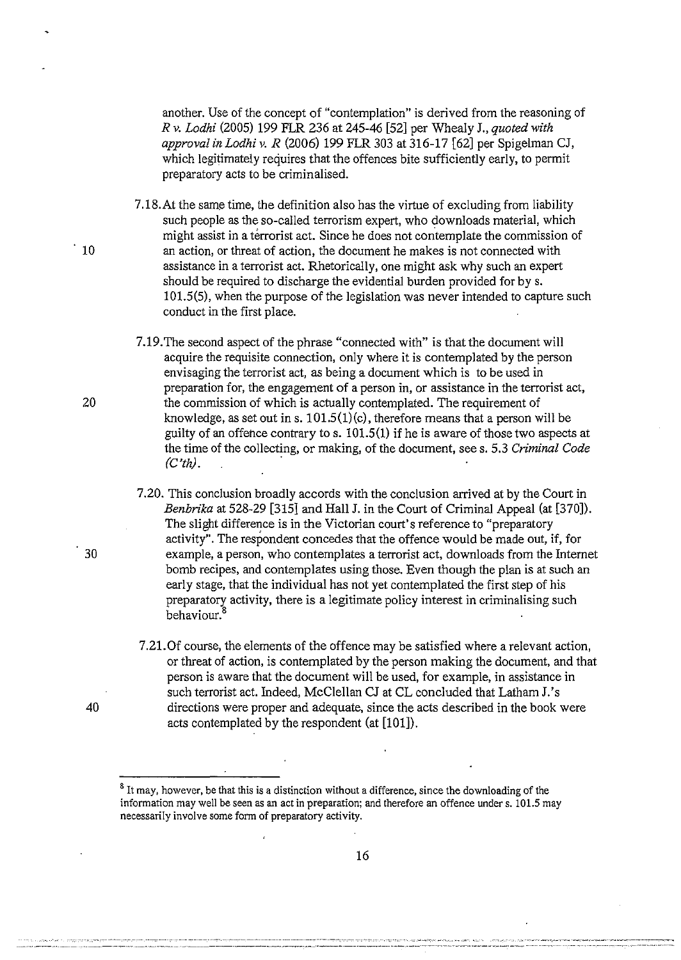another. Use of the concept of "contemplation" is derived from the reasoning of *R v. Lodhi* (2005) 199 FLR 236 at 245-46 [52] per Whealy J., *quoted with approval in Lodhi v. R* (2006) 199 FLR 303 at 316-17 [62] per Spigelman CJ, which legitimately requires that the offences bite sufficiently early, to permit preparatory acts to be criminalised.

7.18.At the same time, the definition also has the virtue of excluding from liability such people as the so-called terrorism expert, who downloads material, which might assist in a terrorist act. Since he does not contemplate the commission of 10 an action, or threat of action, the document he makes is not connected with assistance in a terrorist act. Rhetorically, one might ask why such an expert should be required to discharge the evidential burden provided for by s. 101.5(5), when the purpose of the legislation was never intended to capture such conduct in the first place.

7.19. The second aspect of the phrase "connected with" is that the document will acquire the requisite connection, only where it is contemplated by the person envisaging the terrorist act, as being a document which is to be used in preparation for, the engagement of a person in, or assistance in the terrorist act, 20 the commission of which is actually contemplated. The requirement of knowledge, as set out in s.  $101.5(1)(c)$ , therefore means that a person will be guilty of an offence contrary to s. 101.5(1) if he is aware of those two aspects at the time of the collecting, or making, of the document, sees. 5.3 *Criminal Code (C'th).* .

- 7.20. This conclusion broadly accords with the conclusion arrived at by the Court in *Benbrika* at 528-29 [315] and Hall J. in the Court of Criminal Appeal (at [370]). The slight difference is in the Victorian court's reference to "preparatory activity". The respondent concedes that the offence would be made out, if, for 30 example, a person, who contemplates a terrorist act, downloads from the Internet bomb recipes, and contemplates using those. Even though the plan is at such an early stage, that the individual has not yet contemplated the first step of his preparatory activity, there is a legitimate policy interest in criminalising such behaviour.<sup>8</sup>
- 7 .21. Of course, the elements of the offence may be satisfied where a relevant action, or threat of action, is contemplated by the person making the document, and that person is aware that the document will be used, for example, in assistance in such terrorist act. Indeed, McClellan CJ at CL concluded that Latham J.'s 40 directions were proper and adequate, since the acts described in the book were acts contemplated by the respondent (at [101]).

<sup>&</sup>lt;sup>8</sup> It may, however, be that this is a distinction without a difference, since the downloading of the information may well be seen as an act in preparation; and therefore an offence under s. 101.5 may necessarily involve some form of preparatory activity.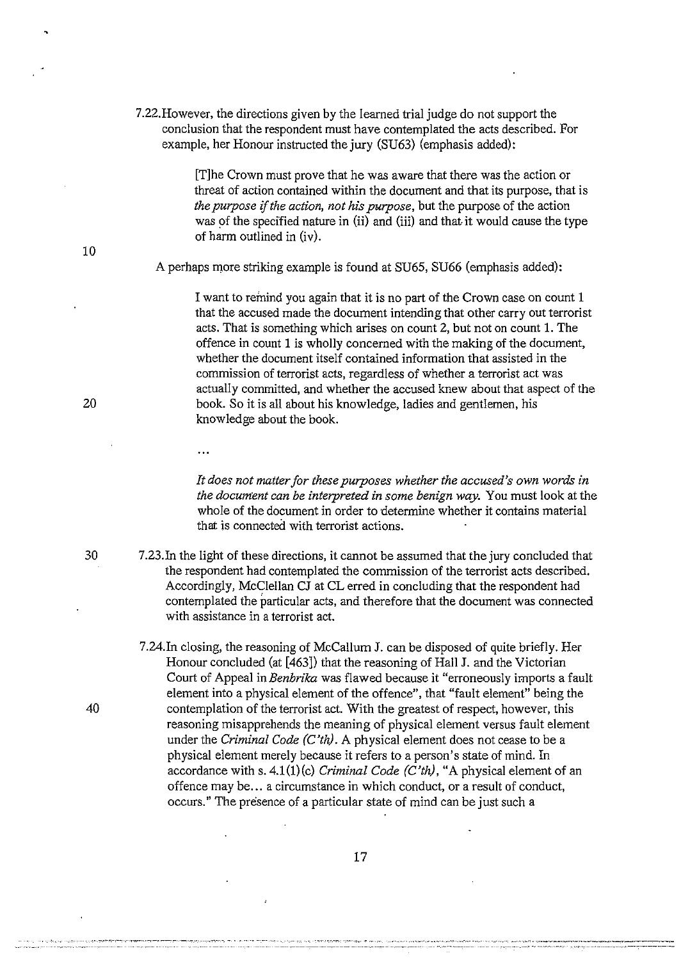7.22.However, the directions given by the learned trial judge do not support the conclusion that the respondent must have contemplated the acts described. For example, her Honour instructed the jury (SU63) (emphasis added):

> [T]he Crown must prove that he was aware that there was the action or threat of action contained within the document and that its purpose, that is *the purpose* if *the action, not his purpose,* but the purpose of the action was of the specified nature in  $(ii)$  and  $(iii)$  and that it would cause the type of harm outlined in (iv).

A perhaps more striking example is found at SU65, SU66 (emphasis added):

I want to remind you again that it is no part of the Crown case on count 1 that the accused made the document intending that other carry out terrorist acts. That is something which arises on count 2, but not on count 1. The offence in count 1 is wholly concerned with the making of the document, whether the document itself contained information that assisted in the commission of terrorist acts, regardless of whether a terrorist act was actually committed, and whether the accused knew about that aspect of the book. So it is all about his knowledge, ladies and gentlemen, his knowledge about the book.

 $\dddotsc$ 

*It does not matter for these purposes whether the accused's own words in the document can be interpreted in some benign way.* You must look at the whole of the document in order to determine whether it contains material that is connected with terrorist actions.

- 30 7.23.In the light of these directions, it cannot be assumed that the jury concluded that the respondent had contemplated the commission of the terrorist acts described. Accordingly, McClellan CJ at CL erred in concluding that the respondent had contemplated the particular acts, and therefore that the document was connected with assistance in a terrorist act.
- 7.24.In closing, the reasoning of McCallum J. can be disposed of quite briefly. Her Honour concluded (at [463]) that the reasoning of Hall J. and the Victorian Court of Appeal in *Benbrika* was flawed because it "erroneously imports a fault element into a physical element of the offence", that "fault element" being the 40 contemplation of the terrorist act. With the greatest of respect, however, this reasoning misapprehends the meaning of physical element versus fault element under the *Criminal Code (C'th).* A physical element does not cease to be a physical element merely because it refers to a person's state of mind. In accordance with s. 4.1(1)(c) *Criminal Code (C'th),* "A physical element of an offence may be ... a circumstance in which conduct, or a result of conduct, occurs." The presence of a particular state of mind can be just such a

10